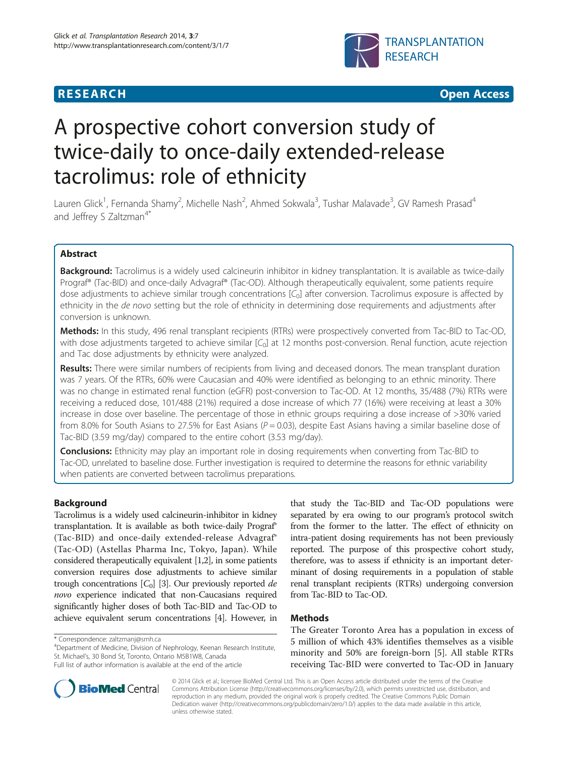# **RESEARCH CHEAR CHEAR CHEAR CHEAR CHEAR CHEAR CHEAR CHEAR CHEAR CHEAR CHEAR CHEAR CHEAR CHEAR CHEAR CHEAR CHEAR**



# A prospective cohort conversion study of twice-daily to once-daily extended-release tacrolimus: role of ethnicity

Lauren Glick<sup>1</sup>, Fernanda Shamy<sup>2</sup>, Michelle Nash<sup>2</sup>, Ahmed Sokwala<sup>3</sup>, Tushar Malavade<sup>3</sup>, GV Ramesh Prasad<sup>4</sup> and Jeffrey S Zaltzman<sup>4\*</sup>

# Abstract

Background: Tacrolimus is a widely used calcineurin inhibitor in kidney transplantation. It is available as twice-daily Prograf® (Tac-BID) and once-daily Advagraf® (Tac-OD). Although therapeutically equivalent, some patients require dose adjustments to achieve similar trough concentrations [C<sub>0</sub>] after conversion. Tacrolimus exposure is affected by ethnicity in the de novo setting but the role of ethnicity in determining dose requirements and adjustments after conversion is unknown.

Methods: In this study, 496 renal transplant recipients (RTRs) were prospectively converted from Tac-BID to Tac-OD, with dose adjustments targeted to achieve similar  $[C_0]$  at 12 months post-conversion. Renal function, acute rejection and Tac dose adjustments by ethnicity were analyzed.

Results: There were similar numbers of recipients from living and deceased donors. The mean transplant duration was 7 years. Of the RTRs, 60% were Caucasian and 40% were identified as belonging to an ethnic minority. There was no change in estimated renal function (eGFR) post-conversion to Tac-OD. At 12 months, 35/488 (7%) RTRs were receiving a reduced dose, 101/488 (21%) required a dose increase of which 77 (16%) were receiving at least a 30% increase in dose over baseline. The percentage of those in ethnic groups requiring a dose increase of >30% varied from 8.0% for South Asians to 27.5% for East Asians ( $P = 0.03$ ), despite East Asians having a similar baseline dose of Tac-BID (3.59 mg/day) compared to the entire cohort (3.53 mg/day).

**Conclusions:** Ethnicity may play an important role in dosing requirements when converting from Tac-BID to Tac-OD, unrelated to baseline dose. Further investigation is required to determine the reasons for ethnic variability when patients are converted between tacrolimus preparations.

# Background

Tacrolimus is a widely used calcineurin-inhibitor in kidney transplantation. It is available as both twice-daily Prograf® (Tac-BID) and once-daily extended-release Advagraf® (Tac-OD) (Astellas Pharma Inc, Tokyo, Japan). While considered therapeutically equivalent [\[1,2](#page-4-0)], in some patients conversion requires dose adjustments to achieve similar trough concentrations  $[C_0]$  [\[3](#page-4-0)]. Our previously reported de novo experience indicated that non-Caucasians required significantly higher doses of both Tac-BID and Tac-OD to achieve equivalent serum concentrations [\[4\]](#page-4-0). However, in

Department of Medicine, Division of Nephrology, Keenan Research Institute, St. Michael's, 30 Bond St, Toronto, Ontario M5B1W8, Canada Full list of author information is available at the end of the article

that study the Tac-BID and Tac-OD populations were separated by era owing to our program's protocol switch from the former to the latter. The effect of ethnicity on intra-patient dosing requirements has not been previously reported. The purpose of this prospective cohort study, therefore, was to assess if ethnicity is an important determinant of dosing requirements in a population of stable renal transplant recipients (RTRs) undergoing conversion from Tac-BID to Tac-OD.

# Methods

The Greater Toronto Area has a population in excess of 5 million of which 43% identifies themselves as a visible minority and 50% are foreign-born [[5\]](#page-4-0). All stable RTRs receiving Tac-BID were converted to Tac-OD in January



© 2014 Glick et al.; licensee BioMed Central Ltd. This is an Open Access article distributed under the terms of the Creative Commons Attribution License [\(http://creativecommons.org/licenses/by/2.0\)](http://creativecommons.org/licenses/by/2.0), which permits unrestricted use, distribution, and reproduction in any medium, provided the original work is properly credited. The Creative Commons Public Domain Dedication waiver [\(http://creativecommons.org/publicdomain/zero/1.0/](http://creativecommons.org/publicdomain/zero/1.0/)) applies to the data made available in this article, unless otherwise stated.

<sup>\*</sup> Correspondence: [zaltzmanj@smh.ca](mailto:zaltzmanj@smh.ca) <sup>4</sup>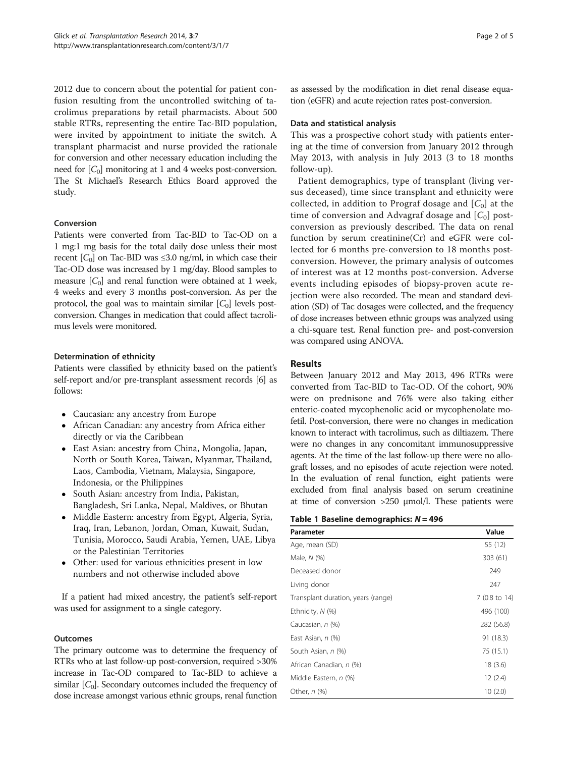<span id="page-1-0"></span>2012 due to concern about the potential for patient confusion resulting from the uncontrolled switching of tacrolimus preparations by retail pharmacists. About 500 stable RTRs, representing the entire Tac-BID population, were invited by appointment to initiate the switch. A transplant pharmacist and nurse provided the rationale for conversion and other necessary education including the need for  $[C_0]$  monitoring at 1 and 4 weeks post-conversion. The St Michael's Research Ethics Board approved the study.

# Conversion

Patients were converted from Tac-BID to Tac-OD on a 1 mg:1 mg basis for the total daily dose unless their most recent  $[C_0]$  on Tac-BID was ≤3.0 ng/ml, in which case their Tac-OD dose was increased by 1 mg/day. Blood samples to measure  $[C_0]$  and renal function were obtained at 1 week, 4 weeks and every 3 months post-conversion. As per the protocol, the goal was to maintain similar  $[C_0]$  levels postconversion. Changes in medication that could affect tacrolimus levels were monitored.

# Determination of ethnicity

Patients were classified by ethnicity based on the patient's self-report and/or pre-transplant assessment records [\[6](#page-4-0)] as follows:

- Caucasian: any ancestry from Europe
- African Canadian: any ancestry from Africa either directly or via the Caribbean
- East Asian: ancestry from China, Mongolia, Japan, North or South Korea, Taiwan, Myanmar, Thailand, Laos, Cambodia, Vietnam, Malaysia, Singapore, Indonesia, or the Philippines
- South Asian: ancestry from India, Pakistan, Bangladesh, Sri Lanka, Nepal, Maldives, or Bhutan
- Middle Eastern: ancestry from Egypt, Algeria, Syria, Iraq, Iran, Lebanon, Jordan, Oman, Kuwait, Sudan, Tunisia, Morocco, Saudi Arabia, Yemen, UAE, Libya or the Palestinian Territories
- Other: used for various ethnicities present in low numbers and not otherwise included above

If a patient had mixed ancestry, the patient's self-report was used for assignment to a single category.

#### Outcomes

The primary outcome was to determine the frequency of RTRs who at last follow-up post-conversion, required >30% increase in Tac-OD compared to Tac-BID to achieve a similar  $[C_0]$ . Secondary outcomes included the frequency of dose increase amongst various ethnic groups, renal function as assessed by the modification in diet renal disease equation (eGFR) and acute rejection rates post-conversion.

#### Data and statistical analysis

This was a prospective cohort study with patients entering at the time of conversion from January 2012 through May 2013, with analysis in July 2013 (3 to 18 months follow-up).

Patient demographics, type of transplant (living versus deceased), time since transplant and ethnicity were collected, in addition to Prograf dosage and  $[C_0]$  at the time of conversion and Advagraf dosage and  $[C_0]$  postconversion as previously described. The data on renal function by serum creatinine(Cr) and eGFR were collected for 6 months pre-conversion to 18 months postconversion. However, the primary analysis of outcomes of interest was at 12 months post-conversion. Adverse events including episodes of biopsy-proven acute rejection were also recorded. The mean and standard deviation (SD) of Tac dosages were collected, and the frequency of dose increases between ethnic groups was analyzed using a chi-square test. Renal function pre- and post-conversion was compared using ANOVA.

# Results

Between January 2012 and May 2013, 496 RTRs were converted from Tac-BID to Tac-OD. Of the cohort, 90% were on prednisone and 76% were also taking either enteric-coated mycophenolic acid or mycophenolate mofetil. Post-conversion, there were no changes in medication known to interact with tacrolimus, such as diltiazem. There were no changes in any concomitant immunosuppressive agents. At the time of the last follow-up there were no allograft losses, and no episodes of acute rejection were noted. In the evaluation of renal function, eight patients were excluded from final analysis based on serum creatinine at time of conversion >250 μmol/l. These patients were

#### Table 1 Baseline demographics:  $N = 496$

| Parameter                          | Value         |
|------------------------------------|---------------|
| Age, mean (SD)                     | 55 (12)       |
| Male, N (%)                        | 303 (61)      |
| Deceased donor                     | 249           |
| Living donor                       | 247           |
| Transplant duration, years (range) | 7 (0.8 to 14) |
| Ethnicity, $N$ (%)                 | 496 (100)     |
| Caucasian, n (%)                   | 282 (56.8)    |
| East Asian, $n$ $(\%)$             | 91 (18.3)     |
| South Asian, n (%)                 | 75 (15.1)     |
| African Canadian, n (%)            | 18(3.6)       |
| Middle Eastern, n (%)              | 12(2.4)       |
| Other, n (%)                       | 10(2.0)       |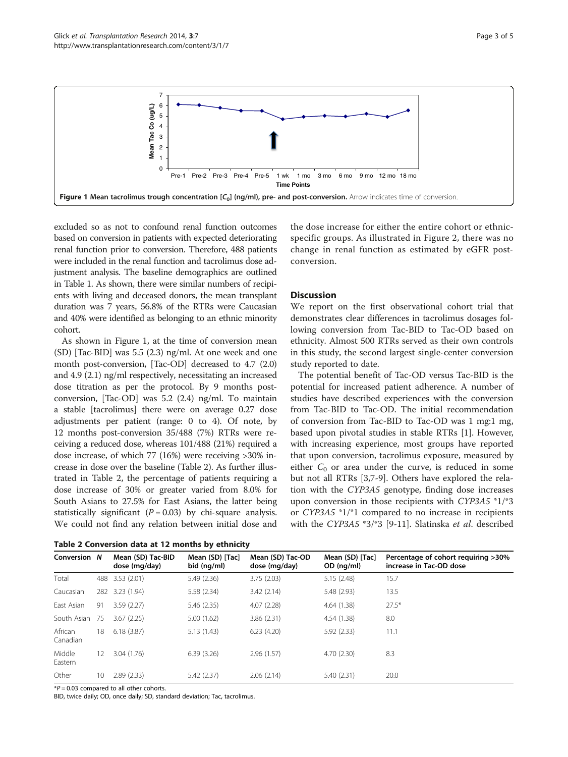

excluded so as not to confound renal function outcomes based on conversion in patients with expected deteriorating renal function prior to conversion. Therefore, 488 patients were included in the renal function and tacrolimus dose adjustment analysis. The baseline demographics are outlined in Table [1.](#page-1-0) As shown, there were similar numbers of recipients with living and deceased donors, the mean transplant duration was 7 years, 56.8% of the RTRs were Caucasian and 40% were identified as belonging to an ethnic minority cohort.

As shown in Figure 1, at the time of conversion mean (SD) [Tac-BID] was 5.5 (2.3) ng/ml. At one week and one month post-conversion, [Tac-OD] decreased to 4.7 (2.0) and 4.9 (2.1) ng/ml respectively, necessitating an increased dose titration as per the protocol. By 9 months postconversion, [Tac-OD] was 5.2 (2.4) ng/ml. To maintain a stable [tacrolimus] there were on average 0.27 dose adjustments per patient (range: 0 to 4). Of note, by 12 months post-conversion 35/488 (7%) RTRs were receiving a reduced dose, whereas 101/488 (21%) required a dose increase, of which 77 (16%) were receiving >30% increase in dose over the baseline (Table 2). As further illustrated in Table 2, the percentage of patients requiring a dose increase of 30% or greater varied from 8.0% for South Asians to 27.5% for East Asians, the latter being statistically significant  $(P = 0.03)$  by chi-square analysis. We could not find any relation between initial dose and

| Table 2 Conversion data at 12 months by ethnicity |  |  |  |
|---------------------------------------------------|--|--|--|
|---------------------------------------------------|--|--|--|

the dose increase for either the entire cohort or ethnicspecific groups. As illustrated in Figure [2](#page-3-0), there was no change in renal function as estimated by eGFR postconversion.

# **Discussion**

We report on the first observational cohort trial that demonstrates clear differences in tacrolimus dosages following conversion from Tac-BID to Tac-OD based on ethnicity. Almost 500 RTRs served as their own controls in this study, the second largest single-center conversion study reported to date.

The potential benefit of Tac-OD versus Tac-BID is the potential for increased patient adherence. A number of studies have described experiences with the conversion from Tac-BID to Tac-OD. The initial recommendation of conversion from Tac-BID to Tac-OD was 1 mg:1 mg, based upon pivotal studies in stable RTRs [[1\]](#page-4-0). However, with increasing experience, most groups have reported that upon conversion, tacrolimus exposure, measured by either  $C_0$  or area under the curve, is reduced in some but not all RTRs [\[3,7](#page-4-0)-[9\]](#page-4-0). Others have explored the relation with the CYP3A5 genotype, finding dose increases upon conversion in those recipients with CYP3A5 \*1/\*3 or CYP3A5 \*1/\*1 compared to no increase in recipients with the CYP3A5 \*3/\*3 [\[9-11](#page-4-0)]. Slatinska et al. described

| Conversion N        |     | Mean (SD) Tac-BID<br>dose (mg/day) | Mean (SD) [Tac]<br>bid (ng/ml) | Mean (SD) Tac-OD<br>dose (mg/day) | Mean (SD) [Tac]<br>OD (ng/ml) | Percentage of cohort requiring >30%<br>increase in Tac-OD dose |
|---------------------|-----|------------------------------------|--------------------------------|-----------------------------------|-------------------------------|----------------------------------------------------------------|
| Total               |     | 488 3.53 (2.01)                    | 5.49(2.36)                     | 3.75(2.03)                        | 5.15(2.48)                    | 15.7                                                           |
| Caucasian           | 282 | 3.23 (1.94)                        | 5.58 (2.34)                    | 3.42(2.14)                        | 5.48 (2.93)                   | 13.5                                                           |
| East Asian          | 91  | 3.59(2.27)                         | 5.46(2.35)                     | 4.07(2.28)                        | 4.64(1.38)                    | $27.5*$                                                        |
| South Asian         | 75  | 3.67(2.25)                         | 5.00(1.62)                     | 3.86(2.31)                        | 4.54 (1.38)                   | 8.0                                                            |
| African<br>Canadian | 18  | 6.18(3.87)                         | 5.13(1.43)                     | 6.23(4.20)                        | 5.92(2.33)                    | 11.1                                                           |
| Middle<br>Eastern   | 12  | 3.04(1.76)                         | 6.39(3.26)                     | 2.96(1.57)                        | 4.70(2.30)                    | 8.3                                                            |
| Other               | 10  | 2.89(2.33)                         | 5.42 (2.37)                    | 2.06(2.14)                        | 5.40(2.31)                    | 20.0                                                           |

 $*P = 0.03$  compared to all other cohorts.

BID, twice daily; OD, once daily; SD, standard deviation; Tac, tacrolimus.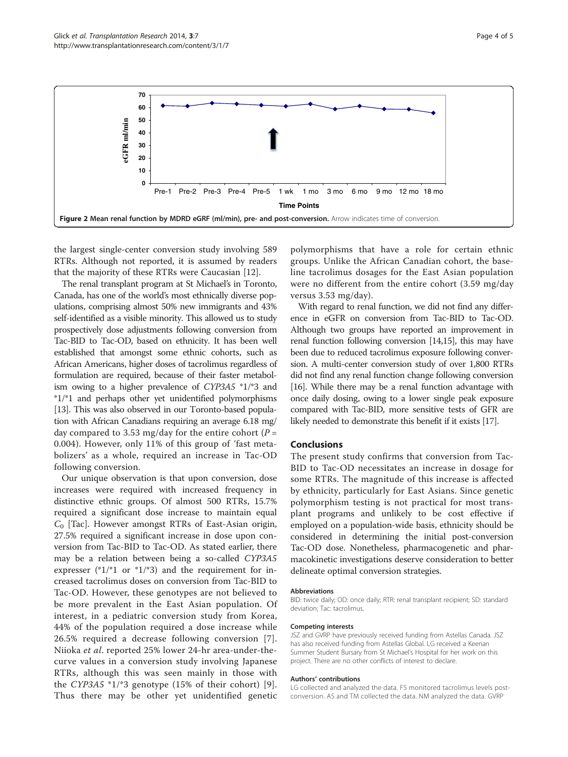<span id="page-3-0"></span>

the largest single-center conversion study involving 589 RTRs. Although not reported, it is assumed by readers that the majority of these RTRs were Caucasian [\[12](#page-4-0)].

The renal transplant program at St Michael's in Toronto, Canada, has one of the world's most ethnically diverse populations, comprising almost 50% new immigrants and 43% self-identified as a visible minority. This allowed us to study prospectively dose adjustments following conversion from Tac-BID to Tac-OD, based on ethnicity. It has been well established that amongst some ethnic cohorts, such as African Americans, higher doses of tacrolimus regardless of formulation are required, because of their faster metabolism owing to a higher prevalence of CYP3A5 \*1/\*3 and \*1/\*1 and perhaps other yet unidentified polymorphisms [[13](#page-4-0)]. This was also observed in our Toronto-based population with African Canadians requiring an average 6.18 mg/ day compared to 3.53 mg/day for the entire cohort ( $P =$ 0.004). However, only 11% of this group of 'fast metabolizers' as a whole, required an increase in Tac-OD following conversion.

Our unique observation is that upon conversion, dose increases were required with increased frequency in distinctive ethnic groups. Of almost 500 RTRs, 15.7% required a significant dose increase to maintain equal  $C_0$  [Tac]. However amongst RTRs of East-Asian origin, 27.5% required a significant increase in dose upon conversion from Tac-BID to Tac-OD. As stated earlier, there may be a relation between being a so-called CYP3A5 expresser  $(*1/*1$  or  $*1/*3)$  and the requirement for increased tacrolimus doses on conversion from Tac-BID to Tac-OD. However, these genotypes are not believed to be more prevalent in the East Asian population. Of interest, in a pediatric conversion study from Korea, 44% of the population required a dose increase while 26.5% required a decrease following conversion [[7](#page-4-0)]. Niioka et al. reported 25% lower 24-hr area-under-thecurve values in a conversion study involving Japanese RTRs, although this was seen mainly in those with the *CYP3A5*  $*1/*3$  genotype (15% of their cohort) [[9](#page-4-0)]. Thus there may be other yet unidentified genetic

polymorphisms that have a role for certain ethnic groups. Unlike the African Canadian cohort, the baseline tacrolimus dosages for the East Asian population were no different from the entire cohort (3.59 mg/day versus 3.53 mg/day).

With regard to renal function, we did not find any difference in eGFR on conversion from Tac-BID to Tac-OD. Although two groups have reported an improvement in renal function following conversion [\[14,15](#page-4-0)], this may have been due to reduced tacrolimus exposure following conversion. A multi-center conversion study of over 1,800 RTRs did not find any renal function change following conversion [[16](#page-4-0)]. While there may be a renal function advantage with once daily dosing, owing to a lower single peak exposure compared with Tac-BID, more sensitive tests of GFR are likely needed to demonstrate this benefit if it exists [\[17](#page-4-0)].

#### Conclusions

The present study confirms that conversion from Tac-BID to Tac-OD necessitates an increase in dosage for some RTRs. The magnitude of this increase is affected by ethnicity, particularly for East Asians. Since genetic polymorphism testing is not practical for most transplant programs and unlikely to be cost effective if employed on a population-wide basis, ethnicity should be considered in determining the initial post-conversion Tac-OD dose. Nonetheless, pharmacogenetic and pharmacokinetic investigations deserve consideration to better delineate optimal conversion strategies.

#### Abbreviations

BID: twice daily; OD: once daily; RTR: renal transplant recipient; SD: standard deviation; Tac: tacrolimus.

#### Competing interests

JSZ and GVRP have previously received funding from Astellas Canada. JSZ has also received funding from Astellas Global. LG received a Keenan Summer Student Bursary from St Michael's Hospital for her work on this project. There are no other conflicts of interest to declare.

#### Authors' contributions

LG collected and analyzed the data. FS monitored tacrolimus levels postconversion. AS and TM collected the data. NM analyzed the data. GVRP